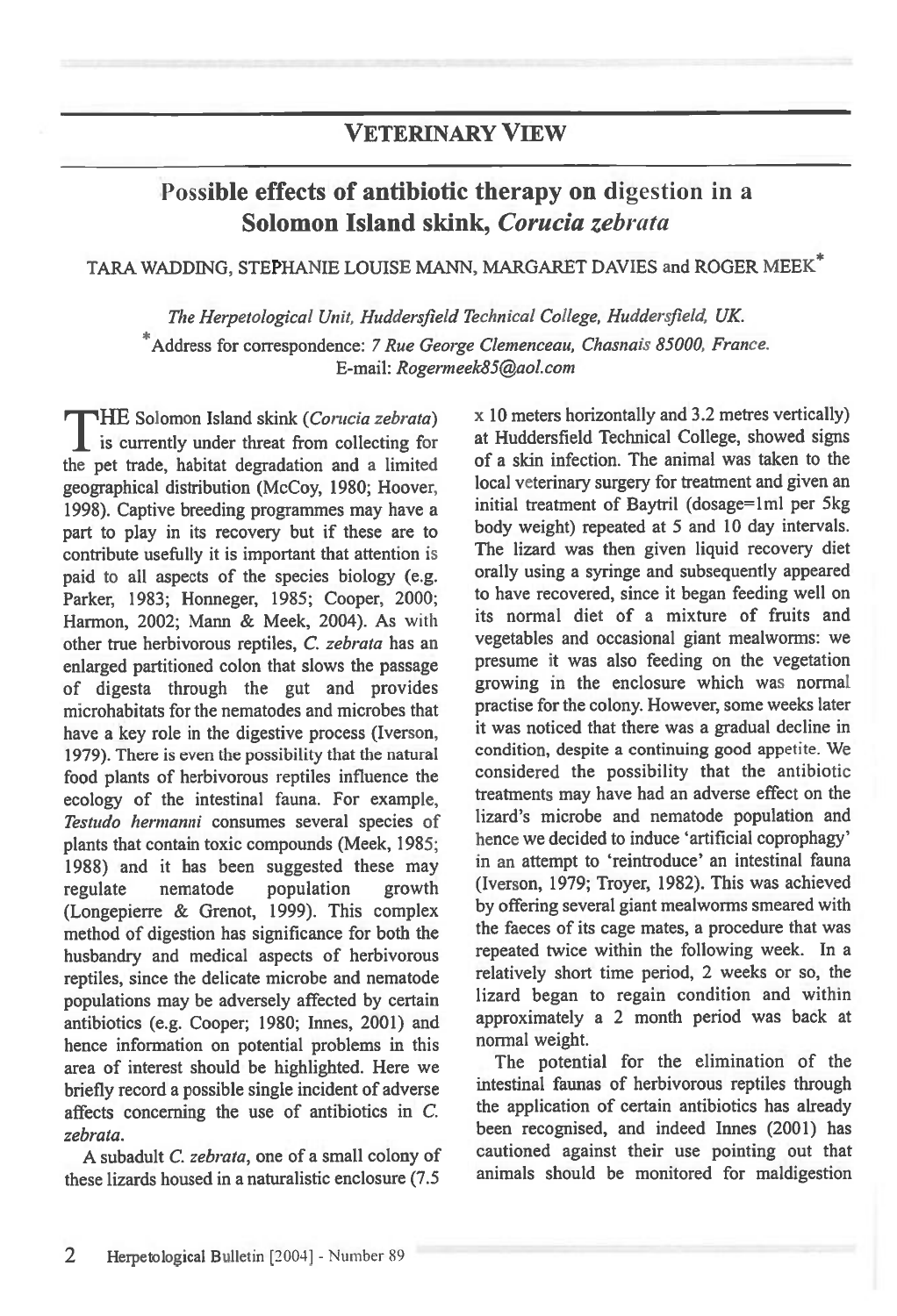## **VETERINARY VIEW**

# **Possible effects of antibiotic therapy on digestion in a Solomon Island skink,** *Corucia zebrata*

### TARA WADDING, STEPHANIE LOUISE MANN, MARGARET DAVIES and ROGER MEEK\*

*The Herpetological Unit, Huddersfield Technical College, Huddersfield, UK.*  \*Address for correspondence: *7 Rue George Clemenceau, Chasnais 85000, France. E-mail: Rogermeek85@aol.com* 

**rTHE** Solomon Island skink *(Corucia zebrata) I* is currently under threat from collecting for the pet trade, habitat degradation and a limited geographical distribution (McCoy, 1980; Hoover, 1998). Captive breeding programmes may have a part to play in its recovery but if these are to contribute usefully it is important that attention is paid to all aspects of the species biology (e.g. Parker, 1983; Honneger, 1985; Cooper, 2000; Harmon, 2002; Mann & Meek, 2004). As with other true herbivorous reptiles, *C. zebrata* has an enlarged partitioned colon that slows the passage of digesta through the gut and provides microhabitats for the nematodes and microbes that have a key role in the digestive process (Iverson, 1979). There is even the possibility that the natural food plants of herbivorous reptiles influence the ecology of the intestinal fauna. For example, *Testudo hermanni* consumes several species of plants that contain toxic compounds (Meek, 1985; 1988) and it has been suggested these may regulate nematode population growth (Longepierre & Grenot, 1999). This complex method of digestion has significance for both the husbandry and medical aspects of herbivorous reptiles, since the delicate microbe and nematode populations may be adversely affected by certain antibiotics (e.g. Cooper; 1980; Innes, 2001) and hence information on potential problems in this area of interest should be highlighted. Here we briefly record a possible single incident of adverse affects concerning the use of antibiotics in *C. zebrata.* 

A subadult C. *zebrata,* one of a small colony of these lizards housed in a naturalistic enclosure (7.5

x 10 meters horizontally and 3.2 metres vertically) at Huddersfield Technical College, showed signs of a skin infection. The animal was taken to the local veterinary surgery for treatment and given an initial treatment of Baytril (dosage=1ml per 5kg) body weight) repeated at 5 and 10 day intervals. The lizard was then given liquid recovery diet orally using a syringe and subsequently appeared to have recovered, since it began feeding well on its normal diet of a mixture of fruits and vegetables and occasional giant mealworms: we presume it was also feeding on the vegetation growing in the enclosure which was normal practise for the colony. However, some weeks later it was noticed that there was a gradual decline in condition, despite a continuing good appetite. We considered the possibility that the antibiotic treatments may have had an adverse effect on the lizard's microbe and nematode population and hence we decided to induce 'artificial coprophagy' in an attempt to 'reintroduce' an intestinal fauna (Iverson, 1979; Troyer, 1982). This was achieved by offering several giant mealworms smeared with the faeces of its cage mates, a procedure that was repeated twice within the following week. In a relatively short time period, 2 weeks or so, the lizard began to regain condition and within approximately a 2 month period was back at normal weight.

The potential for the elimination of the intestinal faunas of herbivorous reptiles through the application of certain antibiotics has already been recognised, and indeed Innes (2001) has cautioned against their use pointing out that animals should be monitored for maldigestion